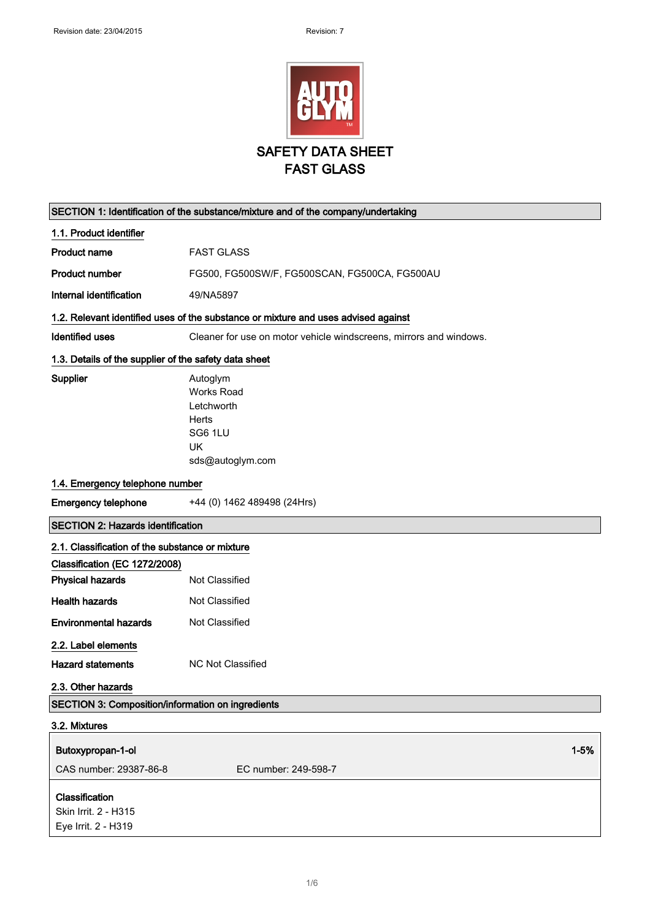

|                                                               | SECTION 1: Identification of the substance/mixture and of the company/undertaking         |
|---------------------------------------------------------------|-------------------------------------------------------------------------------------------|
| 1.1. Product identifier                                       |                                                                                           |
| <b>Product name</b>                                           | <b>FAST GLASS</b>                                                                         |
| <b>Product number</b>                                         | FG500, FG500SW/F, FG500SCAN, FG500CA, FG500AU                                             |
| Internal identification                                       | 49/NA5897                                                                                 |
|                                                               | 1.2. Relevant identified uses of the substance or mixture and uses advised against        |
| <b>Identified uses</b>                                        | Cleaner for use on motor vehicle windscreens, mirrors and windows.                        |
| 1.3. Details of the supplier of the safety data sheet         |                                                                                           |
| Supplier                                                      | Autoglym<br><b>Works Road</b><br>Letchworth<br>Herts<br>SG6 1LU<br>UK<br>sds@autoglym.com |
| 1.4. Emergency telephone number                               |                                                                                           |
| <b>Emergency telephone</b>                                    | +44 (0) 1462 489498 (24Hrs)                                                               |
| <b>SECTION 2: Hazards identification</b>                      |                                                                                           |
| 2.1. Classification of the substance or mixture               |                                                                                           |
| Classification (EC 1272/2008)                                 |                                                                                           |
| <b>Physical hazards</b>                                       | Not Classified                                                                            |
| <b>Health hazards</b>                                         | Not Classified                                                                            |
| <b>Environmental hazards</b>                                  | Not Classified                                                                            |
| 2.2. Label elements                                           |                                                                                           |
| <b>Hazard statements</b>                                      | <b>NC Not Classified</b>                                                                  |
| 2.3. Other hazards                                            |                                                                                           |
| SECTION 3: Composition/information on ingredients             |                                                                                           |
| 3.2. Mixtures                                                 |                                                                                           |
| Butoxypropan-1-ol                                             | $1 - 5%$                                                                                  |
| CAS number: 29387-86-8                                        | EC number: 249-598-7                                                                      |
| Classification<br>Skin Irrit. 2 - H315<br>Eye Irrit. 2 - H319 |                                                                                           |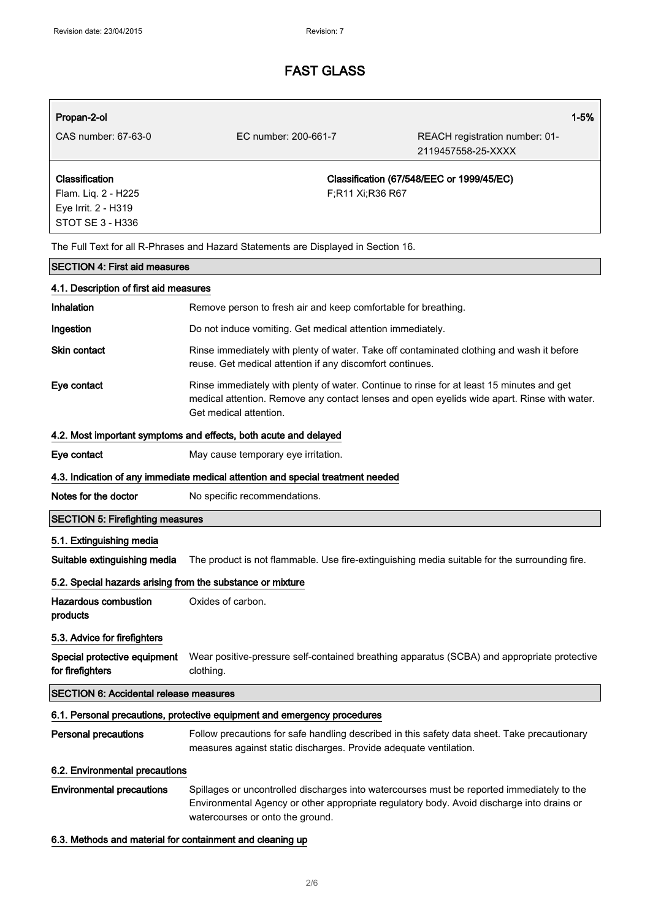| Propan-2-ol                                                                      |                                                                                                                                                                                                                             | $1 - 5%$                                             |
|----------------------------------------------------------------------------------|-----------------------------------------------------------------------------------------------------------------------------------------------------------------------------------------------------------------------------|------------------------------------------------------|
| CAS number: 67-63-0                                                              | EC number: 200-661-7                                                                                                                                                                                                        | REACH registration number: 01-<br>2119457558-25-XXXX |
| Classification<br>Flam. Liq. 2 - H225<br>Eye Irrit. 2 - H319<br>STOT SE 3 - H336 | F;R11 Xi;R36 R67                                                                                                                                                                                                            | Classification (67/548/EEC or 1999/45/EC)            |
|                                                                                  | The Full Text for all R-Phrases and Hazard Statements are Displayed in Section 16.                                                                                                                                          |                                                      |
| <b>SECTION 4: First aid measures</b>                                             |                                                                                                                                                                                                                             |                                                      |
| 4.1. Description of first aid measures                                           |                                                                                                                                                                                                                             |                                                      |
| <b>Inhalation</b>                                                                | Remove person to fresh air and keep comfortable for breathing.                                                                                                                                                              |                                                      |
| Ingestion                                                                        | Do not induce vomiting. Get medical attention immediately.                                                                                                                                                                  |                                                      |
| Skin contact                                                                     | Rinse immediately with plenty of water. Take off contaminated clothing and wash it before<br>reuse. Get medical attention if any discomfort continues.                                                                      |                                                      |
| Eye contact                                                                      | Rinse immediately with plenty of water. Continue to rinse for at least 15 minutes and get<br>medical attention. Remove any contact lenses and open eyelids wide apart. Rinse with water.<br>Get medical attention.          |                                                      |
|                                                                                  | 4.2. Most important symptoms and effects, both acute and delayed                                                                                                                                                            |                                                      |
| Eye contact                                                                      | May cause temporary eye irritation.                                                                                                                                                                                         |                                                      |
|                                                                                  | 4.3. Indication of any immediate medical attention and special treatment needed                                                                                                                                             |                                                      |
| Notes for the doctor                                                             | No specific recommendations.                                                                                                                                                                                                |                                                      |
| <b>SECTION 5: Firefighting measures</b>                                          |                                                                                                                                                                                                                             |                                                      |
| 5.1. Extinguishing media                                                         |                                                                                                                                                                                                                             |                                                      |
| Suitable extinguishing media                                                     | The product is not flammable. Use fire-extinguishing media suitable for the surrounding fire.                                                                                                                               |                                                      |
| 5.2. Special hazards arising from the substance or mixture                       |                                                                                                                                                                                                                             |                                                      |
| <b>Hazardous combustion</b><br>products                                          | Oxides of carbon.                                                                                                                                                                                                           |                                                      |
| 5.3. Advice for firefighters                                                     |                                                                                                                                                                                                                             |                                                      |
| Special protective equipment<br>for firefighters                                 | Wear positive-pressure self-contained breathing apparatus (SCBA) and appropriate protective<br>clothing.                                                                                                                    |                                                      |
| <b>SECTION 6: Accidental release measures</b>                                    |                                                                                                                                                                                                                             |                                                      |
|                                                                                  | 6.1. Personal precautions, protective equipment and emergency procedures                                                                                                                                                    |                                                      |
| <b>Personal precautions</b>                                                      | Follow precautions for safe handling described in this safety data sheet. Take precautionary<br>measures against static discharges. Provide adequate ventilation.                                                           |                                                      |
| 6.2. Environmental precautions                                                   |                                                                                                                                                                                                                             |                                                      |
| <b>Environmental precautions</b>                                                 | Spillages or uncontrolled discharges into watercourses must be reported immediately to the<br>Environmental Agency or other appropriate regulatory body. Avoid discharge into drains or<br>watercourses or onto the ground. |                                                      |

#### 6.3. Methods and material for containment and cleaning up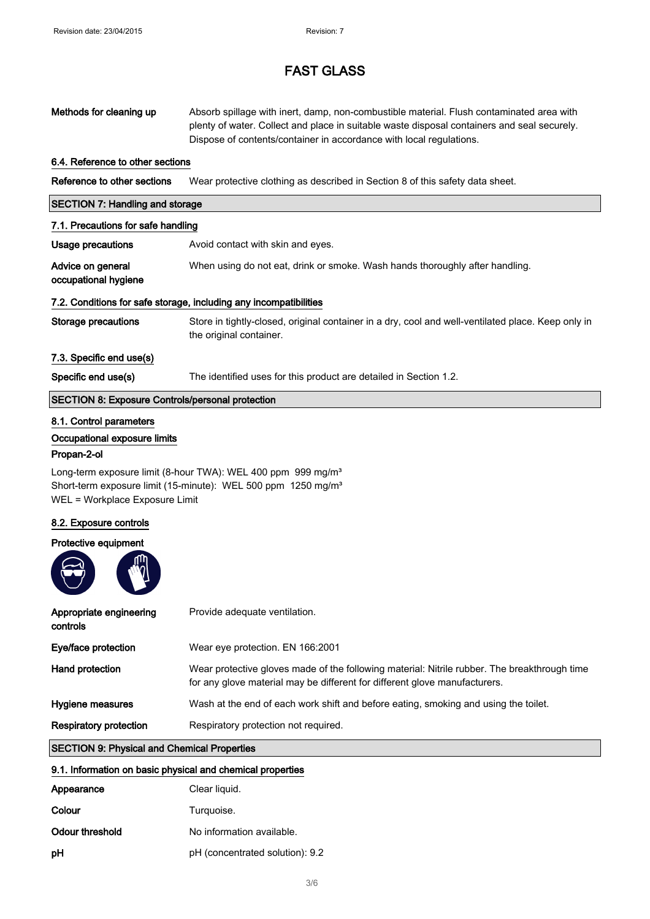| Methods for cleaning up                                                                                                                                                                                                                                           | Absorb spillage with inert, damp, non-combustible material. Flush contaminated area with<br>plenty of water. Collect and place in suitable waste disposal containers and seal securely.<br>Dispose of contents/container in accordance with local regulations. |  |
|-------------------------------------------------------------------------------------------------------------------------------------------------------------------------------------------------------------------------------------------------------------------|----------------------------------------------------------------------------------------------------------------------------------------------------------------------------------------------------------------------------------------------------------------|--|
| 6.4. Reference to other sections                                                                                                                                                                                                                                  |                                                                                                                                                                                                                                                                |  |
| Reference to other sections                                                                                                                                                                                                                                       | Wear protective clothing as described in Section 8 of this safety data sheet.                                                                                                                                                                                  |  |
| <b>SECTION 7: Handling and storage</b>                                                                                                                                                                                                                            |                                                                                                                                                                                                                                                                |  |
| 7.1. Precautions for safe handling                                                                                                                                                                                                                                |                                                                                                                                                                                                                                                                |  |
| <b>Usage precautions</b>                                                                                                                                                                                                                                          | Avoid contact with skin and eyes.                                                                                                                                                                                                                              |  |
| Advice on general<br>occupational hygiene                                                                                                                                                                                                                         | When using do not eat, drink or smoke. Wash hands thoroughly after handling.                                                                                                                                                                                   |  |
|                                                                                                                                                                                                                                                                   | 7.2. Conditions for safe storage, including any incompatibilities                                                                                                                                                                                              |  |
| <b>Storage precautions</b>                                                                                                                                                                                                                                        | Store in tightly-closed, original container in a dry, cool and well-ventilated place. Keep only in<br>the original container.                                                                                                                                  |  |
| 7.3. Specific end use(s)                                                                                                                                                                                                                                          |                                                                                                                                                                                                                                                                |  |
| Specific end use(s)                                                                                                                                                                                                                                               | The identified uses for this product are detailed in Section 1.2.                                                                                                                                                                                              |  |
| <b>SECTION 8: Exposure Controls/personal protection</b>                                                                                                                                                                                                           |                                                                                                                                                                                                                                                                |  |
| 8.1. Control parameters<br>Occupational exposure limits<br>Propan-2-ol<br>Long-term exposure limit (8-hour TWA): WEL 400 ppm 999 mg/m <sup>3</sup><br>Short-term exposure limit (15-minute): WEL 500 ppm 1250 mg/m <sup>3</sup><br>WEL = Workplace Exposure Limit |                                                                                                                                                                                                                                                                |  |
| 8.2. Exposure controls                                                                                                                                                                                                                                            |                                                                                                                                                                                                                                                                |  |
| Protective equipment                                                                                                                                                                                                                                              |                                                                                                                                                                                                                                                                |  |
| Appropriate engineering<br>controls                                                                                                                                                                                                                               | Provide adequate ventilation.                                                                                                                                                                                                                                  |  |
| Eye/face protection                                                                                                                                                                                                                                               | Wear eye protection. EN 166:2001                                                                                                                                                                                                                               |  |
| Hand protection                                                                                                                                                                                                                                                   | Wear protective gloves made of the following material: Nitrile rubber. The breakthrough time<br>for any glove material may be different for different glove manufacturers.                                                                                     |  |
| Hygiene measures                                                                                                                                                                                                                                                  | Wash at the end of each work shift and before eating, smoking and using the toilet.                                                                                                                                                                            |  |
| <b>Respiratory protection</b>                                                                                                                                                                                                                                     | Respiratory protection not required.                                                                                                                                                                                                                           |  |
| <b>SECTION 9: Physical and Chemical Properties</b>                                                                                                                                                                                                                |                                                                                                                                                                                                                                                                |  |
| 9.1. Information on basic physical and chemical properties                                                                                                                                                                                                        |                                                                                                                                                                                                                                                                |  |

| <u>a ili iliyofinasayit ali waalo biliyofaar aligi alahinaal bilaba isto</u> |                                 |  |
|------------------------------------------------------------------------------|---------------------------------|--|
| Appearance                                                                   | Clear liquid.                   |  |
| Colour                                                                       | Turquoise.                      |  |
| Odour threshold                                                              | No information available.       |  |
| рH                                                                           | pH (concentrated solution): 9.2 |  |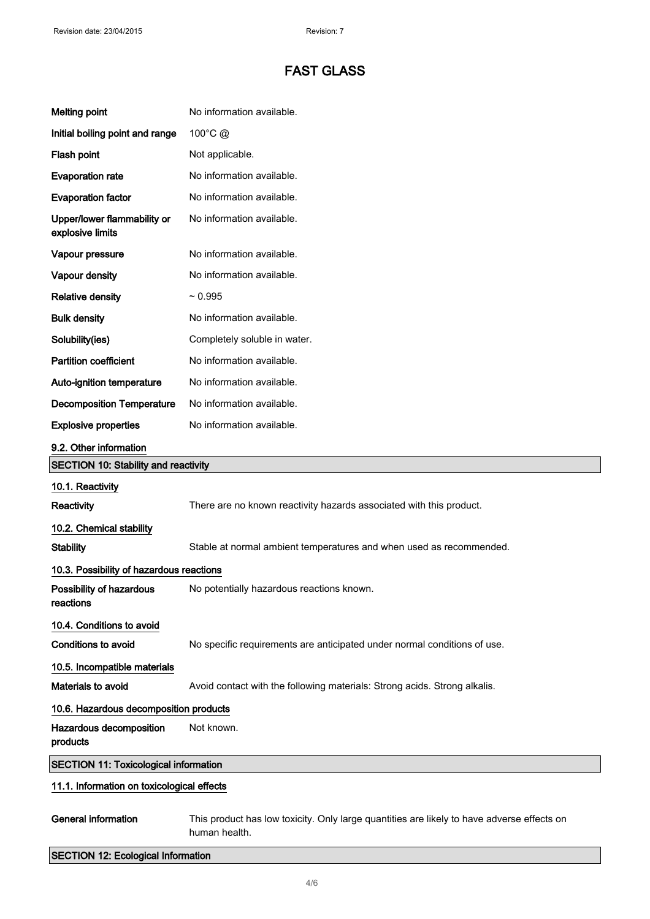| <b>Melting point</b>                            | No information available.                                                                                   |
|-------------------------------------------------|-------------------------------------------------------------------------------------------------------------|
| Initial boiling point and range                 | 100°C @                                                                                                     |
| Flash point                                     | Not applicable.                                                                                             |
| <b>Evaporation rate</b>                         | No information available.                                                                                   |
| <b>Evaporation factor</b>                       | No information available.                                                                                   |
| Upper/lower flammability or<br>explosive limits | No information available.                                                                                   |
| Vapour pressure                                 | No information available.                                                                                   |
| Vapour density                                  | No information available.                                                                                   |
| <b>Relative density</b>                         | $~1$ 0.995                                                                                                  |
| <b>Bulk density</b>                             | No information available.                                                                                   |
| Solubility(ies)                                 | Completely soluble in water.                                                                                |
| <b>Partition coefficient</b>                    | No information available.                                                                                   |
| Auto-ignition temperature                       | No information available.                                                                                   |
| <b>Decomposition Temperature</b>                | No information available.                                                                                   |
| <b>Explosive properties</b>                     | No information available.                                                                                   |
| 9.2. Other information                          |                                                                                                             |
| <b>SECTION 10: Stability and reactivity</b>     |                                                                                                             |
| 10.1. Reactivity                                |                                                                                                             |
| <b>Reactivity</b>                               | There are no known reactivity hazards associated with this product.                                         |
| 10.2. Chemical stability                        |                                                                                                             |
| <b>Stability</b>                                | Stable at normal ambient temperatures and when used as recommended.                                         |
| 10.3. Possibility of hazardous reactions        |                                                                                                             |
| Possibility of hazardous<br>reactions           | No potentially hazardous reactions known.                                                                   |
| 10.4. Conditions to avoid                       |                                                                                                             |
| <b>Conditions to avoid</b>                      | No specific requirements are anticipated under normal conditions of use.                                    |
| 10.5. Incompatible materials                    |                                                                                                             |
| Materials to avoid                              | Avoid contact with the following materials: Strong acids. Strong alkalis.                                   |
| 10.6. Hazardous decomposition products          |                                                                                                             |
| Hazardous decomposition<br>products             | Not known.                                                                                                  |
| <b>SECTION 11: Toxicological information</b>    |                                                                                                             |
| 11.1. Information on toxicological effects      |                                                                                                             |
| <b>General information</b>                      | This product has low toxicity. Only large quantities are likely to have adverse effects on<br>human health. |
| <b>SECTION 12: Ecological Information</b>       |                                                                                                             |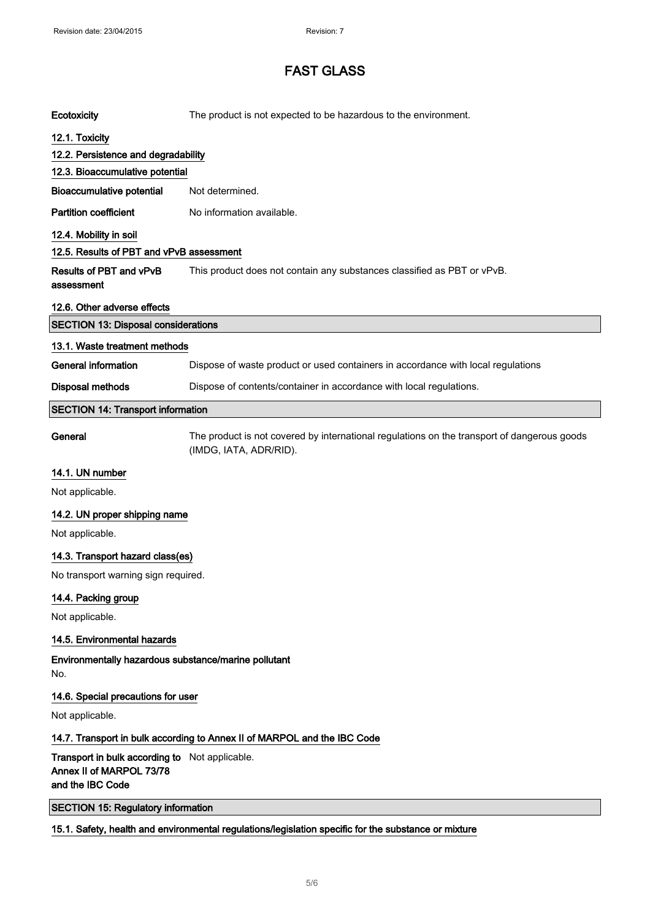| Ecotoxicity                                                                                    | The product is not expected to be hazardous to the environment.                                                       |
|------------------------------------------------------------------------------------------------|-----------------------------------------------------------------------------------------------------------------------|
| 12.1. Toxicity                                                                                 |                                                                                                                       |
| 12.2. Persistence and degradability                                                            |                                                                                                                       |
| 12.3. Bioaccumulative potential                                                                |                                                                                                                       |
| <b>Bioaccumulative potential</b>                                                               | Not determined.                                                                                                       |
| <b>Partition coefficient</b>                                                                   | No information available.                                                                                             |
| 12.4. Mobility in soil                                                                         |                                                                                                                       |
| 12.5. Results of PBT and vPvB assessment                                                       |                                                                                                                       |
| <b>Results of PBT and vPvB</b><br>assessment                                                   | This product does not contain any substances classified as PBT or vPvB.                                               |
| 12.6. Other adverse effects                                                                    |                                                                                                                       |
| <b>SECTION 13: Disposal considerations</b>                                                     |                                                                                                                       |
| 13.1. Waste treatment methods                                                                  |                                                                                                                       |
| <b>General information</b>                                                                     | Dispose of waste product or used containers in accordance with local regulations                                      |
| <b>Disposal methods</b>                                                                        | Dispose of contents/container in accordance with local regulations.                                                   |
| <b>SECTION 14: Transport information</b>                                                       |                                                                                                                       |
| General                                                                                        | The product is not covered by international regulations on the transport of dangerous goods<br>(IMDG, IATA, ADR/RID). |
| 14.1. UN number                                                                                |                                                                                                                       |
| Not applicable.                                                                                |                                                                                                                       |
| 14.2. UN proper shipping name                                                                  |                                                                                                                       |
| Not applicable.                                                                                |                                                                                                                       |
| 14.3. Transport hazard class(es)                                                               |                                                                                                                       |
| No transport warning sign required.                                                            |                                                                                                                       |
| 14.4. Packing group                                                                            |                                                                                                                       |
| Not applicable.                                                                                |                                                                                                                       |
| 14.5. Environmental hazards                                                                    |                                                                                                                       |
| Environmentally hazardous substance/marine pollutant<br>No.                                    |                                                                                                                       |
| 14.6. Special precautions for user                                                             |                                                                                                                       |
| Not applicable.                                                                                |                                                                                                                       |
|                                                                                                | 14.7. Transport in bulk according to Annex II of MARPOL and the IBC Code                                              |
| Transport in bulk according to Not applicable.<br>Annex II of MARPOL 73/78<br>and the IBC Code |                                                                                                                       |
| <b>SECTION 15: Regulatory information</b>                                                      |                                                                                                                       |
|                                                                                                | 15.1. Safety, health and environmental regulations/legislation specific for the substance or mixture                  |
|                                                                                                |                                                                                                                       |